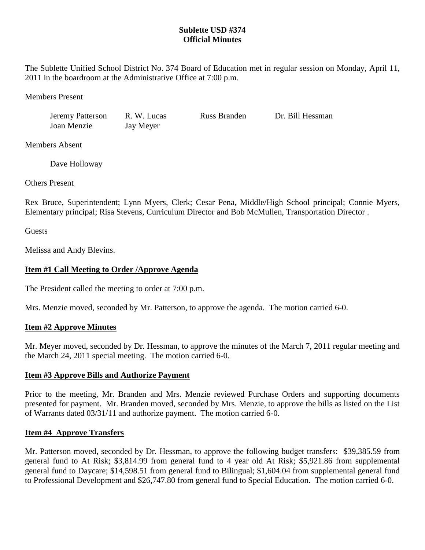### **Sublette USD #374 Official Minutes**

The Sublette Unified School District No. 374 Board of Education met in regular session on Monday, April 11, 2011 in the boardroom at the Administrative Office at 7:00 p.m.

Members Present

Jeremy Patterson R. W. Lucas Russ Branden Dr. Bill Hessman Joan Menzie Jay Meyer

Members Absent

Dave Holloway

Others Present

Rex Bruce, Superintendent; Lynn Myers, Clerk; Cesar Pena, Middle/High School principal; Connie Myers, Elementary principal; Risa Stevens, Curriculum Director and Bob McMullen, Transportation Director .

**Guests** 

Melissa and Andy Blevins.

### **Item #1 Call Meeting to Order /Approve Agenda**

The President called the meeting to order at 7:00 p.m.

Mrs. Menzie moved, seconded by Mr. Patterson, to approve the agenda. The motion carried 6-0.

### **Item #2 Approve Minutes**

Mr. Meyer moved, seconded by Dr. Hessman, to approve the minutes of the March 7, 2011 regular meeting and the March 24, 2011 special meeting. The motion carried 6-0.

### **Item #3 Approve Bills and Authorize Payment**

Prior to the meeting, Mr. Branden and Mrs. Menzie reviewed Purchase Orders and supporting documents presented for payment. Mr. Branden moved, seconded by Mrs. Menzie, to approve the bills as listed on the List of Warrants dated 03/31/11 and authorize payment. The motion carried 6-0.

## **Item #4 Approve Transfers**

Mr. Patterson moved, seconded by Dr. Hessman, to approve the following budget transfers: \$39,385.59 from general fund to At Risk; \$3,814.99 from general fund to 4 year old At Risk; \$5,921.86 from supplemental general fund to Daycare; \$14,598.51 from general fund to Bilingual; \$1,604.04 from supplemental general fund to Professional Development and \$26,747.80 from general fund to Special Education. The motion carried 6-0.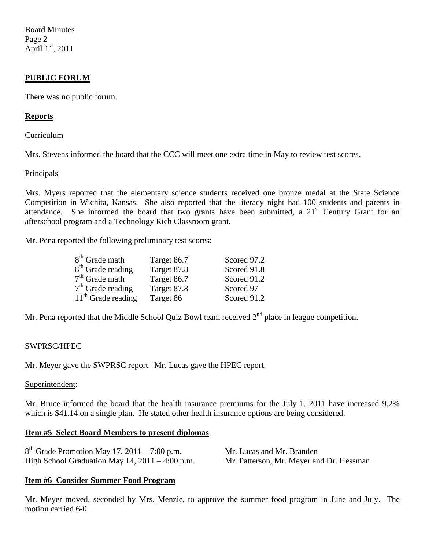Board Minutes Page 2 April 11, 2011

### **PUBLIC FORUM**

There was no public forum.

### **Reports**

#### Curriculum

Mrs. Stevens informed the board that the CCC will meet one extra time in May to review test scores.

#### Principals

Mrs. Myers reported that the elementary science students received one bronze medal at the State Science Competition in Wichita, Kansas. She also reported that the literacy night had 100 students and parents in attendance. She informed the board that two grants have been submitted, a  $21<sup>st</sup>$  Century Grant for an afterschool program and a Technology Rich Classroom grant.

Mr. Pena reported the following preliminary test scores:

| Target 86.7 | Scored 97.2 |
|-------------|-------------|
| Target 87.8 | Scored 91.8 |
| Target 86.7 | Scored 91.2 |
| Target 87.8 | Scored 97   |
| Target 86   | Scored 91.2 |
|             |             |

Mr. Pena reported that the Middle School Quiz Bowl team received  $2<sup>nd</sup>$  place in league competition.

#### SWPRSC/HPEC

Mr. Meyer gave the SWPRSC report. Mr. Lucas gave the HPEC report.

#### Superintendent:

Mr. Bruce informed the board that the health insurance premiums for the July 1, 2011 have increased 9.2% which is \$41.14 on a single plan. He stated other health insurance options are being considered.

### **Item #5 Select Board Members to present diplomas**

| $8th$ Grade Promotion May 17, 2011 – 7:00 p.m.       | Mr. Lucas and Mr. Branden                |
|------------------------------------------------------|------------------------------------------|
| High School Graduation May $14$ , $2011 - 4:00$ p.m. | Mr. Patterson, Mr. Meyer and Dr. Hessman |

### **Item #6 Consider Summer Food Program**

Mr. Meyer moved, seconded by Mrs. Menzie, to approve the summer food program in June and July. The motion carried 6-0.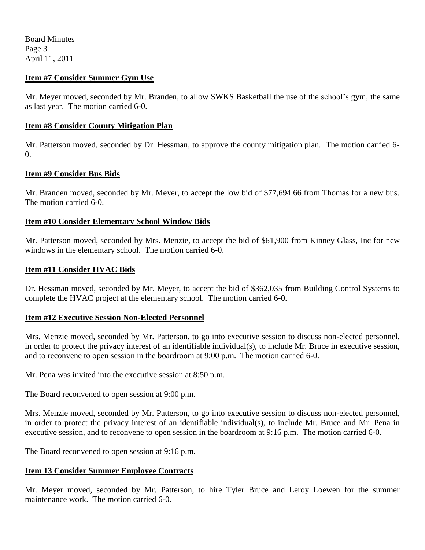Board Minutes Page 3 April 11, 2011

## **Item #7 Consider Summer Gym Use**

Mr. Meyer moved, seconded by Mr. Branden, to allow SWKS Basketball the use of the school's gym, the same as last year. The motion carried 6-0.

## **Item #8 Consider County Mitigation Plan**

Mr. Patterson moved, seconded by Dr. Hessman, to approve the county mitigation plan. The motion carried 6- 0.

# **Item #9 Consider Bus Bids**

Mr. Branden moved, seconded by Mr. Meyer, to accept the low bid of \$77,694.66 from Thomas for a new bus. The motion carried 6-0.

# **Item #10 Consider Elementary School Window Bids**

Mr. Patterson moved, seconded by Mrs. Menzie, to accept the bid of \$61,900 from Kinney Glass, Inc for new windows in the elementary school. The motion carried 6-0.

## **Item #11 Consider HVAC Bids**

Dr. Hessman moved, seconded by Mr. Meyer, to accept the bid of \$362,035 from Building Control Systems to complete the HVAC project at the elementary school. The motion carried 6-0.

# **Item #12 Executive Session Non-Elected Personnel**

Mrs. Menzie moved, seconded by Mr. Patterson, to go into executive session to discuss non-elected personnel, in order to protect the privacy interest of an identifiable individual(s), to include Mr. Bruce in executive session, and to reconvene to open session in the boardroom at 9:00 p.m. The motion carried 6-0.

Mr. Pena was invited into the executive session at 8:50 p.m.

The Board reconvened to open session at 9:00 p.m.

Mrs. Menzie moved, seconded by Mr. Patterson, to go into executive session to discuss non-elected personnel, in order to protect the privacy interest of an identifiable individual(s), to include Mr. Bruce and Mr. Pena in executive session, and to reconvene to open session in the boardroom at 9:16 p.m. The motion carried 6-0.

The Board reconvened to open session at 9:16 p.m.

# **Item 13 Consider Summer Employee Contracts**

Mr. Meyer moved, seconded by Mr. Patterson, to hire Tyler Bruce and Leroy Loewen for the summer maintenance work. The motion carried 6-0.